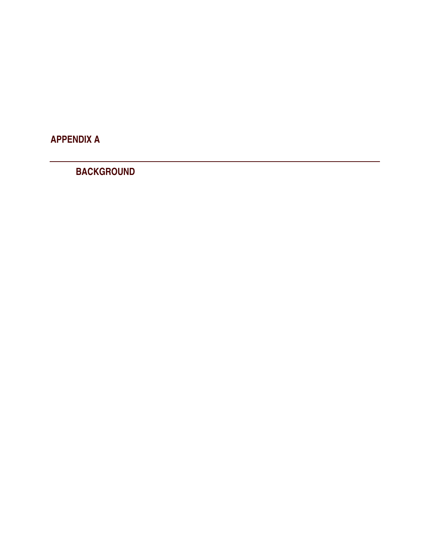APPENDIX A

BACKGROUND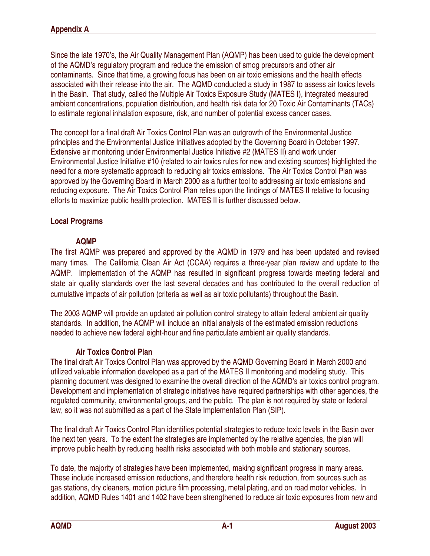Since the late 1970's, the Air Quality Management Plan (AQMP) has been used to guide the development of the AQMD's regulatory program and reduce the emission of smog precursors and other air contaminants. Since that time, a growing focus has been on air toxic emissions and the health effects associated with their release into the air. The AQMD conducted a study in 1987 to assess air toxics levels in the Basin. That study, called the Multiple Air Toxics Exposure Study (MATES I), integrated measured ambient concentrations, population distribution, and health risk data for 20 Toxic Air Contaminants (TACs) to estimate regional inhalation exposure, risk, and number of potential excess cancer cases.

The concept for a final draft Air Toxics Control Plan was an outgrowth of the Environmental Justice principles and the Environmental Justice Initiatives adopted by the Governing Board in October 1997. Extensive air monitoring under Environmental Justice Initiative #2 (MATES II) and work under Environmental Justice Initiative #10 (related to air toxics rules for new and existing sources) highlighted the need for a more systematic approach to reducing air toxics emissions. The Air Toxics Control Plan was approved by the Governing Board in March 2000 as a further tool to addressing air toxic emissions and reducing exposure. The Air Toxics Control Plan relies upon the findings of MATES II relative to focusing efforts to maximize public health protection. MATES II is further discussed below.

## Local Programs

## AQMP

The first AQMP was prepared and approved by the AQMD in 1979 and has been updated and revised many times. The California Clean Air Act (CCAA) requires a three-year plan review and update to the AQMP. Implementation of the AQMP has resulted in significant progress towards meeting federal and state air quality standards over the last several decades and has contributed to the overall reduction of cumulative impacts of air pollution (criteria as well as air toxic pollutants) throughout the Basin.

The 2003 AQMP will provide an updated air pollution control strategy to attain federal ambient air quality standards. In addition, the AQMP will include an initial analysis of the estimated emission reductions needed to achieve new federal eight-hour and fine particulate ambient air quality standards.

## Air Toxics Control Plan

The final draft Air Toxics Control Plan was approved by the AQMD Governing Board in March 2000 and utilized valuable information developed as a part of the MATES II monitoring and modeling study. This planning document was designed to examine the overall direction of the AQMD's air toxics control program. Development and implementation of strategic initiatives have required partnerships with other agencies, the regulated community, environmental groups, and the public. The plan is not required by state or federal law, so it was not submitted as a part of the State Implementation Plan (SIP).

The final draft Air Toxics Control Plan identifies potential strategies to reduce toxic levels in the Basin over the next ten years. To the extent the strategies are implemented by the relative agencies, the plan will improve public health by reducing health risks associated with both mobile and stationary sources.

To date, the majority of strategies have been implemented, making significant progress in many areas. These include increased emission reductions, and therefore health risk reduction, from sources such as gas stations, dry cleaners, motion picture film processing, metal plating, and on road motor vehicles. In addition, AQMD Rules 1401 and 1402 have been strengthened to reduce air toxic exposures from new and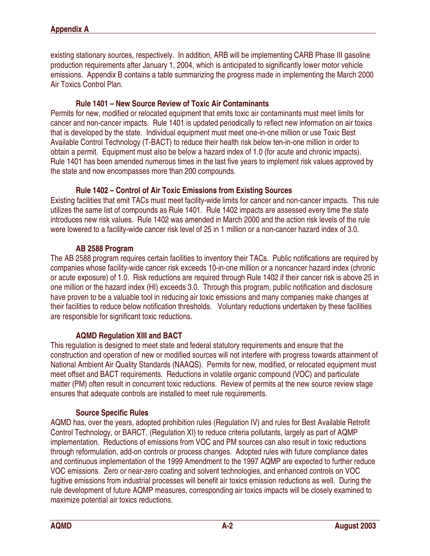existing stationary sources, respectively. In addition, ARB will be implementing CARB Phase III gasoline production requirements after January 1, 2004, which is anticipated to significantly lower motor vehicle emissions. Appendix B contains a table summarizing the progress made in implementing the March 2000 Air Toxics Control Plan.

### Rule 1401 – New Source Review of Toxic Air Contaminants

Permits for new, modified or relocated equipment that emits toxic air contaminants must meet limits for cancer and non-cancer impacts. Rule 1401 is updated periodically to reflect new information on air toxics that is developed by the state. Individual equipment must meet one-in-one million or use Toxic Best Available Control Technology (T-BACT) to reduce their health risk below ten-in-one million in order to obtain a permit. Equipment must also be below a hazard index of 1.0 (for acute and chronic impacts). Rule 1401 has been amended numerous times in the last five years to implement risk values approved by the state and now encompasses more than 200 compounds.

### Rule 1402 – Control of Air Toxic Emissions from Existing Sources

Existing facilities that emit TACs must meet facility-wide limits for cancer and non-cancer impacts. This rule utilizes the same list of compounds as Rule 1401. Rule 1402 impacts are assessed every time the state introduces new risk values. Rule 1402 was amended in March 2000 and the action risk levels of the rule were lowered to a facility-wide cancer risk level of 25 in 1 million or a non-cancer hazard index of 3.0.

#### AB 2588 Program

The AB 2588 program requires certain facilities to inventory their TACs. Public notifications are required by companies whose facility-wide cancer risk exceeds 10-in-one million or a noncancer hazard index (chronic or acute exposure) of 1.0. Risk reductions are required through Rule 1402 if their cancer risk is above 25 in one million or the hazard index (HI) exceeds 3.0. Through this program, public notification and disclosure have proven to be a valuable tool in reducing air toxic emissions and many companies make changes at their facilities to reduce below notification thresholds. Voluntary reductions undertaken by these facilities are responsible for significant toxic reductions.

## AQMD Regulation XIII and BACT

This regulation is designed to meet state and federal statutory requirements and ensure that the construction and operation of new or modified sources will not interfere with progress towards attainment of National Ambient Air Quality Standards (NAAQS). Permits for new, modified, or relocated equipment must meet offset and BACT requirements. Reductions in volatile organic compound (VOC) and particulate matter (PM) often result in concurrent toxic reductions. Review of permits at the new source review stage ensures that adequate controls are installed to meet rule requirements.

## Source Specific Rules

AQMD has, over the years, adopted prohibition rules (Regulation IV) and rules for Best Available Retrofit Control Technology, or BARCT, (Regulation XI) to reduce criteria pollutants, largely as part of AQMP implementation. Reductions of emissions from VOC and PM sources can also result in toxic reductions through reformulation, add-on controls or process changes. Adopted rules with future compliance dates and continuous implementation of the 1999 Amendment to the 1997 AQMP are expected to further reduce VOC emissions. Zero or near-zero coating and solvent technologies, and enhanced controls on VOC fugitive emissions from industrial processes will benefit air toxics emission reductions as well. During the rule development of future AQMP measures, corresponding air toxics impacts will be closely examined to maximize potential air toxics reductions.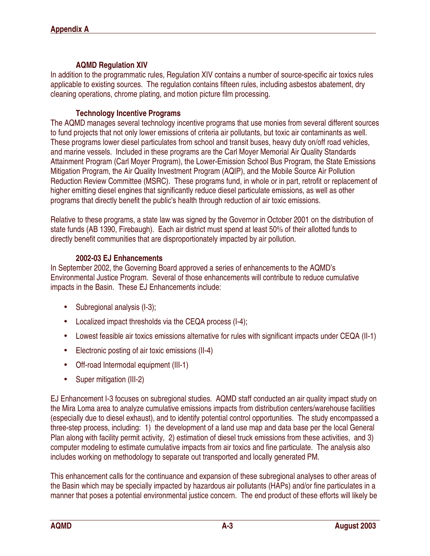### AQMD Regulation XIV

In addition to the programmatic rules, Regulation XIV contains a number of source-specific air toxics rules applicable to existing sources. The regulation contains fifteen rules, including asbestos abatement, dry cleaning operations, chrome plating, and motion picture film processing.

### Technology Incentive Programs

The AQMD manages several technology incentive programs that use monies from several different sources to fund projects that not only lower emissions of criteria air pollutants, but toxic air contaminants as well. These programs lower diesel particulates from school and transit buses, heavy duty on/off road vehicles, and marine vessels. Included in these programs are the Carl Moyer Memorial Air Quality Standards Attainment Program (Carl Moyer Program), the Lower-Emission School Bus Program, the State Emissions Mitigation Program, the Air Quality Investment Program (AQIP), and the Mobile Source Air Pollution Reduction Review Committee (MSRC). These programs fund, in whole or in part, retrofit or replacement of higher emitting diesel engines that significantly reduce diesel particulate emissions, as well as other programs that directly benefit the public's health through reduction of air toxic emissions.

Relative to these programs, a state law was signed by the Governor in October 2001 on the distribution of state funds (AB 1390, Firebaugh). Each air district must spend at least 50% of their allotted funds to directly benefit communities that are disproportionately impacted by air pollution.

### 2002-03 EJ Enhancements

In September 2002, the Governing Board approved a series of enhancements to the AQMD's Environmental Justice Program. Several of those enhancements will contribute to reduce cumulative impacts in the Basin. These EJ Enhancements include:

- Subregional analysis (I-3);
- Localized impact thresholds via the CEQA process (I-4);
- Lowest feasible air toxics emissions alternative for rules with significant impacts under CEQA (II-1)
- Electronic posting of air toxic emissions (II-4)
- Off-road Intermodal equipment (III-1)
- Super mitigation (III-2)

EJ Enhancement I-3 focuses on subregional studies. AQMD staff conducted an air quality impact study on the Mira Loma area to analyze cumulative emissions impacts from distribution centers/warehouse facilities (especially due to diesel exhaust), and to identify potential control opportunities. The study encompassed a three-step process, including: 1) the development of a land use map and data base per the local General Plan along with facility permit activity, 2) estimation of diesel truck emissions from these activities, and 3) computer modeling to estimate cumulative impacts from air toxics and fine particulate. The analysis also includes working on methodology to separate out transported and locally generated PM.

This enhancement calls for the continuance and expansion of these subregional analyses to other areas of the Basin which may be specially impacted by hazardous air pollutants (HAPs) and/or fine particulates in a manner that poses a potential environmental justice concern. The end product of these efforts will likely be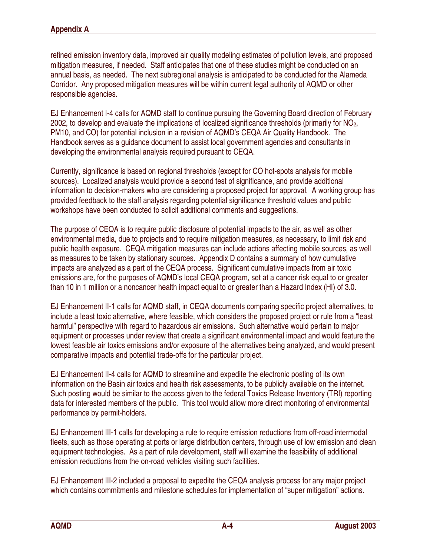refined emission inventory data, improved air quality modeling estimates of pollution levels, and proposed mitigation measures, if needed. Staff anticipates that one of these studies might be conducted on an annual basis, as needed. The next subregional analysis is anticipated to be conducted for the Alameda Corridor. Any proposed mitigation measures will be within current legal authority of AQMD or other responsible agencies.

EJ Enhancement I-4 calls for AQMD staff to continue pursuing the Governing Board direction of February 2002, to develop and evaluate the implications of localized significance thresholds (primarily for  $NO<sub>2</sub>$ , PM10, and CO) for potential inclusion in a revision of AQMD's CEQA Air Quality Handbook. The Handbook serves as a guidance document to assist local government agencies and consultants in developing the environmental analysis required pursuant to CEQA.

Currently, significance is based on regional thresholds (except for CO hot-spots analysis for mobile sources). Localized analysis would provide a second test of significance, and provide additional information to decision-makers who are considering a proposed project for approval. A working group has provided feedback to the staff analysis regarding potential significance threshold values and public workshops have been conducted to solicit additional comments and suggestions.

The purpose of CEQA is to require public disclosure of potential impacts to the air, as well as other environmental media, due to projects and to require mitigation measures, as necessary, to limit risk and public health exposure. CEQA mitigation measures can include actions affecting mobile sources, as well as measures to be taken by stationary sources. Appendix D contains a summary of how cumulative impacts are analyzed as a part of the CEQA process. Significant cumulative impacts from air toxic emissions are, for the purposes of AQMD's local CEQA program, set at a cancer risk equal to or greater than 10 in 1 million or a noncancer health impact equal to or greater than a Hazard Index (HI) of 3.0.

EJ Enhancement II-1 calls for AQMD staff, in CEQA documents comparing specific project alternatives, to include a least toxic alternative, where feasible, which considers the proposed project or rule from a "least harmful" perspective with regard to hazardous air emissions. Such alternative would pertain to major equipment or processes under review that create a significant environmental impact and would feature the lowest feasible air toxics emissions and/or exposure of the alternatives being analyzed, and would present comparative impacts and potential trade-offs for the particular project.

EJ Enhancement II-4 calls for AQMD to streamline and expedite the electronic posting of its own information on the Basin air toxics and health risk assessments, to be publicly available on the internet. Such posting would be similar to the access given to the federal Toxics Release Inventory (TRI) reporting data for interested members of the public. This tool would allow more direct monitoring of environmental performance by permit-holders.

EJ Enhancement III-1 calls for developing a rule to require emission reductions from off-road intermodal fleets, such as those operating at ports or large distribution centers, through use of low emission and clean equipment technologies. As a part of rule development, staff will examine the feasibility of additional emission reductions from the on-road vehicles visiting such facilities.

EJ Enhancement III-2 included a proposal to expedite the CEQA analysis process for any major project which contains commitments and milestone schedules for implementation of "super mitigation" actions.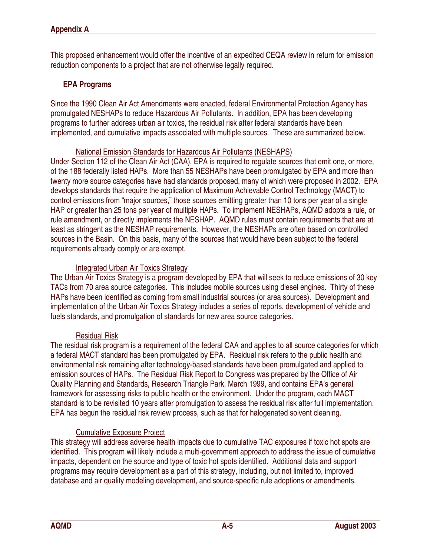This proposed enhancement would offer the incentive of an expedited CEQA review in return for emission reduction components to a project that are not otherwise legally required.

## EPA Programs

Since the 1990 Clean Air Act Amendments were enacted, federal Environmental Protection Agency has promulgated NESHAPs to reduce Hazardous Air Pollutants. In addition, EPA has been developing programs to further address urban air toxics, the residual risk after federal standards have been implemented, and cumulative impacts associated with multiple sources. These are summarized below.

### National Emission Standards for Hazardous Air Pollutants (NESHAPS)

Under Section 112 of the Clean Air Act (CAA), EPA is required to regulate sources that emit one, or more, of the 188 federally listed HAPs. More than 55 NESHAPs have been promulgated by EPA and more than twenty more source categories have had standards proposed, many of which were proposed in 2002. EPA develops standards that require the application of Maximum Achievable Control Technology (MACT) to control emissions from "major sources," those sources emitting greater than 10 tons per year of a single HAP or greater than 25 tons per year of multiple HAPs. To implement NESHAPs, AQMD adopts a rule, or rule amendment, or directly implements the NESHAP. AQMD rules must contain requirements that are at least as stringent as the NESHAP requirements. However, the NESHAPs are often based on controlled sources in the Basin. On this basis, many of the sources that would have been subject to the federal requirements already comply or are exempt.

## Integrated Urban Air Toxics Strategy

The Urban Air Toxics Strategy is a program developed by EPA that will seek to reduce emissions of 30 key TACs from 70 area source categories. This includes mobile sources using diesel engines. Thirty of these HAPs have been identified as coming from small industrial sources (or area sources). Development and implementation of the Urban Air Toxics Strategy includes a series of reports, development of vehicle and fuels standards, and promulgation of standards for new area source categories.

## Residual Risk

The residual risk program is a requirement of the federal CAA and applies to all source categories for which a federal MACT standard has been promulgated by EPA. Residual risk refers to the public health and environmental risk remaining after technology-based standards have been promulgated and applied to emission sources of HAPs. The Residual Risk Report to Congress was prepared by the Office of Air Quality Planning and Standards, Research Triangle Park, March 1999, and contains EPA's general framework for assessing risks to public health or the environment. Under the program, each MACT standard is to be revisited 10 years after promulgation to assess the residual risk after full implementation. EPA has begun the residual risk review process, such as that for halogenated solvent cleaning.

## Cumulative Exposure Project

This strategy will address adverse health impacts due to cumulative TAC exposures if toxic hot spots are identified. This program will likely include a multi-government approach to address the issue of cumulative impacts, dependent on the source and type of toxic hot spots identified. Additional data and support programs may require development as a part of this strategy, including, but not limited to, improved database and air quality modeling development, and source-specific rule adoptions or amendments.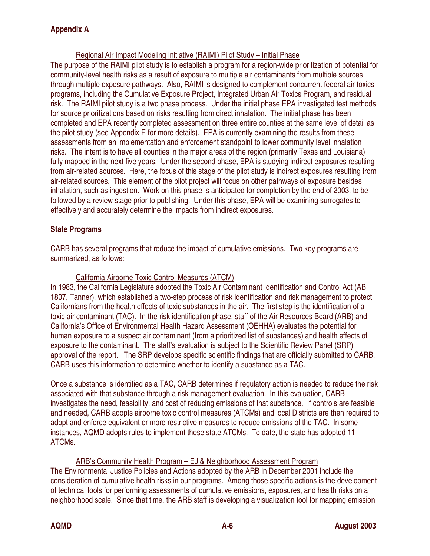Regional Air Impact Modeling Initiative (RAIMI) Pilot Study – Initial Phase

The purpose of the RAIMI pilot study is to establish a program for a region-wide prioritization of potential for community-level health risks as a result of exposure to multiple air contaminants from multiple sources through multiple exposure pathways. Also, RAIMI is designed to complement concurrent federal air toxics programs, including the Cumulative Exposure Project, Integrated Urban Air Toxics Program, and residual risk. The RAIMI pilot study is a two phase process. Under the initial phase EPA investigated test methods for source prioritizations based on risks resulting from direct inhalation. The initial phase has been completed and EPA recently completed assessment on three entire counties at the same level of detail as the pilot study (see Appendix E for more details). EPA is currently examining the results from these assessments from an implementation and enforcement standpoint to lower community level inhalation risks. The intent is to have all counties in the major areas of the region (primarily Texas and Louisiana) fully mapped in the next five years. Under the second phase, EPA is studying indirect exposures resulting from air-related sources. Here, the focus of this stage of the pilot study is indirect exposures resulting from air-related sources. This element of the pilot project will focus on other pathways of exposure besides inhalation, such as ingestion. Work on this phase is anticipated for completion by the end of 2003, to be followed by a review stage prior to publishing. Under this phase, EPA will be examining surrogates to effectively and accurately determine the impacts from indirect exposures.

## State Programs

CARB has several programs that reduce the impact of cumulative emissions. Two key programs are summarized, as follows:

## California Airborne Toxic Control Measures (ATCM)

In 1983, the California Legislature adopted the Toxic Air Contaminant Identification and Control Act (AB 1807, Tanner), which established a two-step process of risk identification and risk management to protect Californians from the health effects of toxic substances in the air. The first step is the identification of a toxic air contaminant (TAC). In the risk identification phase, staff of the Air Resources Board (ARB) and California's Office of Environmental Health Hazard Assessment (OEHHA) evaluates the potential for human exposure to a suspect air contaminant (from a prioritized list of substances) and health effects of exposure to the contaminant. The staff's evaluation is subject to the Scientific Review Panel (SRP) approval of the report. The SRP develops specific scientific findings that are officially submitted to CARB. CARB uses this information to determine whether to identify a substance as a TAC.

Once a substance is identified as a TAC, CARB determines if regulatory action is needed to reduce the risk associated with that substance through a risk management evaluation. In this evaluation, CARB investigates the need, feasibility, and cost of reducing emissions of that substance. If controls are feasible and needed, CARB adopts airborne toxic control measures (ATCMs) and local Districts are then required to adopt and enforce equivalent or more restrictive measures to reduce emissions of the TAC. In some instances, AQMD adopts rules to implement these state ATCMs. To date, the state has adopted 11 ATCMs.

## ARB's Community Health Program – EJ & Neighborhood Assessment Program

The Environmental Justice Policies and Actions adopted by the ARB in December 2001 include the consideration of cumulative health risks in our programs. Among those specific actions is the development of technical tools for performing assessments of cumulative emissions, exposures, and health risks on a neighborhood scale. Since that time, the ARB staff is developing a visualization tool for mapping emission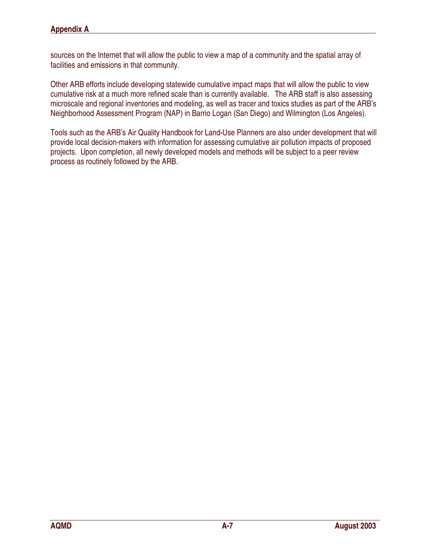sources on the Internet that will allow the public to view a map of a community and the spatial array of facilities and emissions in that community.

Other ARB efforts include developing statewide cumulative impact maps that will allow the public to view cumulative risk at a much more refined scale than is currently available. The ARB staff is also assessing microscale and regional inventories and modeling, as well as tracer and toxics studies as part of the ARB's Neighborhood Assessment Program (NAP) in Barrio Logan (San Diego) and Wilmington (Los Angeles).

Tools such as the ARB's Air Quality Handbook for Land-Use Planners are also under development that will provide local decision-makers with information for assessing cumulative air pollution impacts of proposed projects. Upon completion, all newly developed models and methods will be subject to a peer review process as routinely followed by the ARB.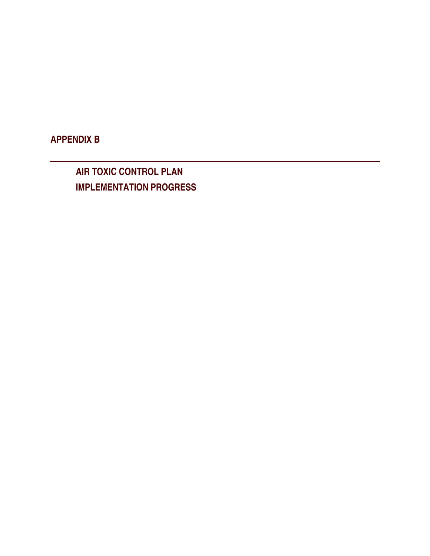APPENDIX B

AIR TOXIC CONTROL PLAN IMPLEMENTATION PROGRESS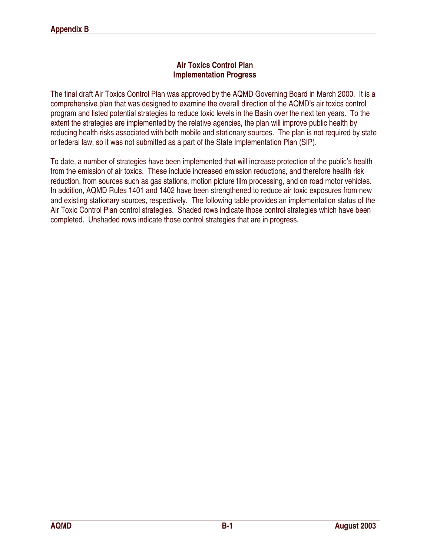### Air Toxics Control Plan Implementation Progress

The final draft Air Toxics Control Plan was approved by the AQMD Governing Board in March 2000. It is a comprehensive plan that was designed to examine the overall direction of the AQMD's air toxics control program and listed potential strategies to reduce toxic levels in the Basin over the next ten years. To the extent the strategies are implemented by the relative agencies, the plan will improve public health by reducing health risks associated with both mobile and stationary sources. The plan is not required by state or federal law, so it was not submitted as a part of the State Implementation Plan (SIP).

To date, a number of strategies have been implemented that will increase protection of the public's health from the emission of air toxics. These include increased emission reductions, and therefore health risk reduction, from sources such as gas stations, motion picture film processing, and on road motor vehicles. In addition, AQMD Rules 1401 and 1402 have been strengthened to reduce air toxic exposures from new and existing stationary sources, respectively. The following table provides an implementation status of the Air Toxic Control Plan control strategies. Shaded rows indicate those control strategies which have been completed. Unshaded rows indicate those control strategies that are in progress.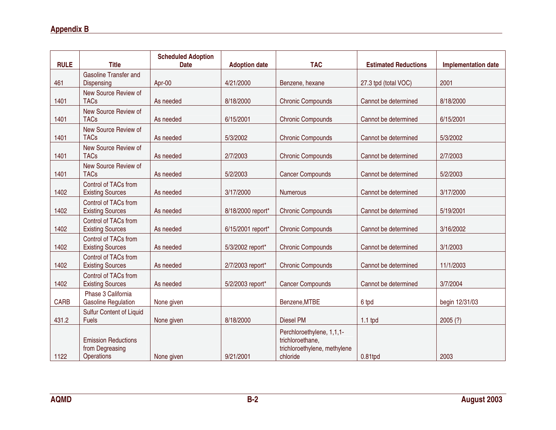| <b>RULE</b> | <b>Title</b>                                                | <b>Scheduled Adoption</b><br><b>Date</b> | <b>Adoption date</b> | <b>TAC</b>                                                                                | <b>Estimated Reductions</b> | <b>Implementation date</b> |
|-------------|-------------------------------------------------------------|------------------------------------------|----------------------|-------------------------------------------------------------------------------------------|-----------------------------|----------------------------|
| 461         | <b>Gasoline Transfer and</b><br>Dispensing                  | Apr-00                                   | 4/21/2000            | Benzene, hexane                                                                           | 27.3 tpd (total VOC)        | 2001                       |
| 1401        | New Source Review of<br><b>TACs</b>                         | As needed                                | 8/18/2000            | <b>Chronic Compounds</b>                                                                  | Cannot be determined        | 8/18/2000                  |
| 1401        | New Source Review of<br><b>TACs</b>                         | As needed                                | 6/15/2001            | <b>Chronic Compounds</b>                                                                  | Cannot be determined        | 6/15/2001                  |
| 1401        | New Source Review of<br><b>TACs</b>                         | As needed                                | 5/3/2002             | <b>Chronic Compounds</b>                                                                  | Cannot be determined        | 5/3/2002                   |
| 1401        | New Source Review of<br><b>TACs</b>                         | As needed                                | 2/7/2003             | <b>Chronic Compounds</b>                                                                  | Cannot be determined        | 2/7/2003                   |
| 1401        | New Source Review of<br><b>TACs</b>                         | As needed                                | 5/2/2003             | <b>Cancer Compounds</b>                                                                   | Cannot be determined        | 5/2/2003                   |
| 1402        | Control of TACs from<br><b>Existing Sources</b>             | As needed                                | 3/17/2000            | <b>Numerous</b>                                                                           | Cannot be determined        | 3/17/2000                  |
| 1402        | Control of TACs from<br><b>Existing Sources</b>             | As needed                                | 8/18/2000 report*    | <b>Chronic Compounds</b>                                                                  | Cannot be determined        | 5/19/2001                  |
| 1402        | Control of TACs from<br><b>Existing Sources</b>             | As needed                                | 6/15/2001 report*    | <b>Chronic Compounds</b>                                                                  | Cannot be determined        | 3/16/2002                  |
| 1402        | Control of TACs from<br><b>Existing Sources</b>             | As needed                                | 5/3/2002 report*     | <b>Chronic Compounds</b>                                                                  | Cannot be determined        | 3/1/2003                   |
| 1402        | Control of TACs from<br><b>Existing Sources</b>             | As needed                                | 2/7/2003 report*     | <b>Chronic Compounds</b>                                                                  | Cannot be determined        | 11/1/2003                  |
| 1402        | Control of TACs from<br><b>Existing Sources</b>             | As needed                                | 5/2/2003 report*     | <b>Cancer Compounds</b>                                                                   | Cannot be determined        | 3/7/2004                   |
| <b>CARB</b> | Phase 3 California<br><b>Gasoline Regulation</b>            | None given                               |                      | Benzene, MTBE                                                                             | 6 tpd                       | begin 12/31/03             |
| 431.2       | <b>Sulfur Content of Liquid</b><br><b>Fuels</b>             | None given                               | 8/18/2000            | Diesel PM                                                                                 | $1.1$ tpd                   | 2005(?)                    |
| 1122        | <b>Emission Reductions</b><br>from Degreasing<br>Operations | None given                               | 9/21/2001            | Perchloroethylene, 1,1,1-<br>trichloroethane,<br>trichloroethylene, methylene<br>chloride | 0.81tpd                     | 2003                       |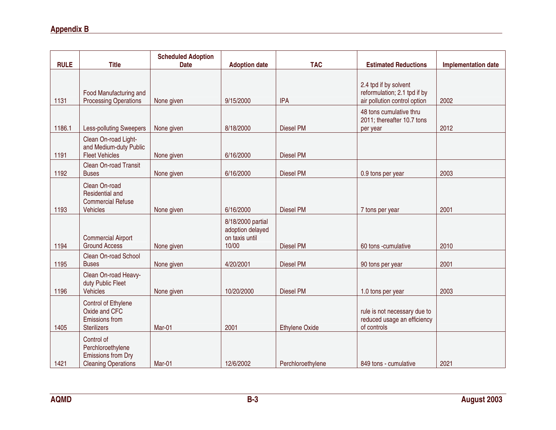| <b>RULE</b> | <b>Title</b>                                                                        | <b>Scheduled Adoption</b><br><b>Date</b> | <b>Adoption date</b>                                             | <b>TAC</b>            | <b>Estimated Reductions</b>                                                           | <b>Implementation date</b> |
|-------------|-------------------------------------------------------------------------------------|------------------------------------------|------------------------------------------------------------------|-----------------------|---------------------------------------------------------------------------------------|----------------------------|
|             |                                                                                     |                                          |                                                                  |                       |                                                                                       |                            |
| 1131        | Food Manufacturing and<br><b>Processing Operations</b>                              | None given                               | 9/15/2000                                                        | <b>IPA</b>            | 2.4 tpd if by solvent<br>reformulation; 2.1 tpd if by<br>air pollution control option | 2002                       |
| 1186.1      | <b>Less-polluting Sweepers</b>                                                      | None given                               | 8/18/2000                                                        | <b>Diesel PM</b>      | 48 tons cumulative thru<br>2011; thereafter 10.7 tons<br>per year                     | 2012                       |
| 1191        | Clean On-road Light-<br>and Medium-duty Public<br><b>Fleet Vehicles</b>             | None given                               | 6/16/2000                                                        | <b>Diesel PM</b>      |                                                                                       |                            |
| 1192        | Clean On-road Transit<br><b>Buses</b>                                               | None given                               | 6/16/2000                                                        | <b>Diesel PM</b>      | 0.9 tons per year                                                                     | 2003                       |
| 1193        | Clean On-road<br>Residential and<br><b>Commercial Refuse</b><br><b>Vehicles</b>     | None given                               | 6/16/2000                                                        | <b>Diesel PM</b>      | 7 tons per year                                                                       | 2001                       |
| 1194        | <b>Commercial Airport</b><br><b>Ground Access</b>                                   | None given                               | 8/18/2000 partial<br>adoption delayed<br>on taxis until<br>10/00 | <b>Diesel PM</b>      | 60 tons -cumulative                                                                   | 2010                       |
| 1195        | Clean On-road School<br><b>Buses</b>                                                | None given                               | 4/20/2001                                                        | <b>Diesel PM</b>      | 90 tons per year                                                                      | 2001                       |
| 1196        | Clean On-road Heavy-<br>duty Public Fleet<br><b>Vehicles</b>                        | None given                               | 10/20/2000                                                       | <b>Diesel PM</b>      | 1.0 tons per year                                                                     | 2003                       |
| 1405        | Control of Ethylene<br>Oxide and CFC<br>Emissions from<br><b>Sterilizers</b>        | Mar-01                                   | 2001                                                             | <b>Ethylene Oxide</b> | rule is not necessary due to<br>reduced usage an efficiency<br>of controls            |                            |
| 1421        | Control of<br>Perchloroethylene<br>Emissions from Dry<br><b>Cleaning Operations</b> | Mar-01                                   | 12/6/2002                                                        | Perchloroethylene     | 849 tons - cumulative                                                                 | 2021                       |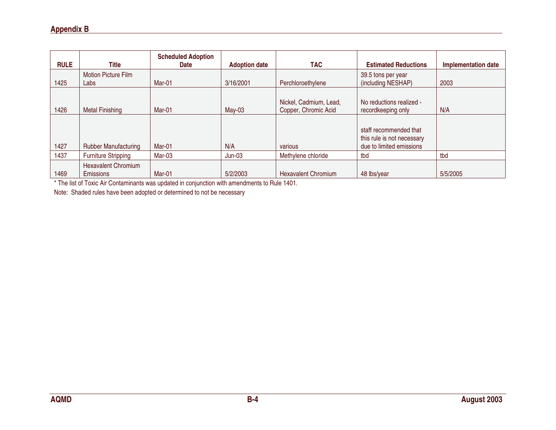| <b>RULE</b> | Title                                          | <b>Scheduled Adoption</b><br><b>Date</b> | <b>Adoption date</b> | <b>TAC</b>                                     | <b>Estimated Reductions</b>                          | <b>Implementation date</b> |
|-------------|------------------------------------------------|------------------------------------------|----------------------|------------------------------------------------|------------------------------------------------------|----------------------------|
| 1425        | <b>Motion Picture Film</b><br>Labs             | Mar-01                                   | 3/16/2001            | Perchloroethylene                              | 39.5 tons per year<br>(including NESHAP)             | 2003                       |
| 1426        | <b>Metal Finishing</b>                         | Mar-01                                   | $May-03$             | Nickel, Cadmium, Lead,<br>Copper, Chromic Acid | No reductions realized -<br>recordkeeping only       | N/A                        |
|             |                                                |                                          |                      |                                                | staff recommended that<br>this rule is not necessary |                            |
| 1427        | <b>Rubber Manufacturing</b>                    | Mar-01                                   | N/A                  | various                                        | due to limited emissions                             |                            |
| 1437        | <b>Furniture Stripping</b>                     | Mar-03                                   | $Jun-03$             | Methylene chloride                             | tbd                                                  | tbd                        |
| 1469        | <b>Hexavalent Chromium</b><br><b>Emissions</b> | Mar-01                                   | 5/2/2003             | <b>Hexavalent Chromium</b>                     | 48 lbs/year                                          | 5/5/2005                   |

\* The list of Toxic Air Contaminants was updated in conjunction with amendments to Rule 1401.

Note: Shaded rules have been adopted or determined to not be necessary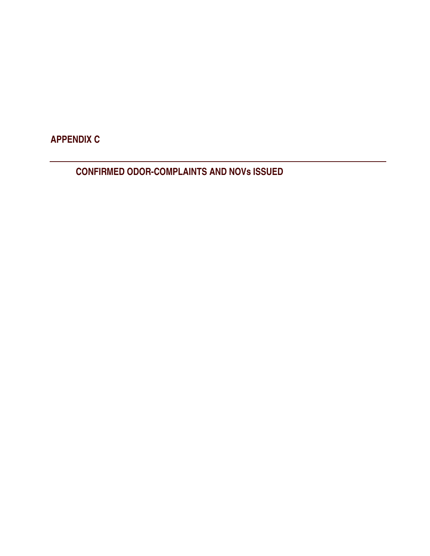APPENDIX C

CONFIRMED ODOR-COMPLAINTS AND NOVs ISSUED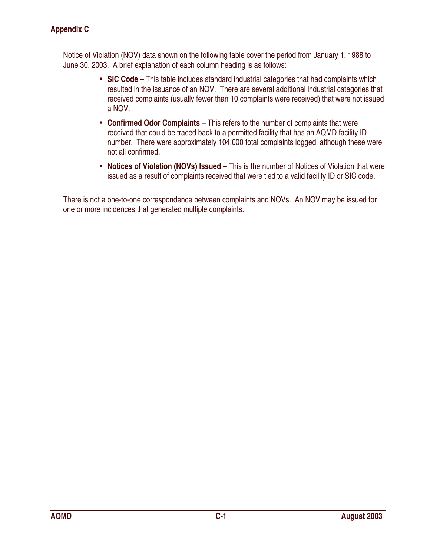Notice of Violation (NOV) data shown on the following table cover the period from January 1, 1988 to June 30, 2003. A brief explanation of each column heading is as follows:

- SIC Code This table includes standard industrial categories that had complaints which resulted in the issuance of an NOV. There are several additional industrial categories that received complaints (usually fewer than 10 complaints were received) that were not issued a NOV.
- Confirmed Odor Complaints This refers to the number of complaints that were received that could be traced back to a permitted facility that has an AQMD facility ID number. There were approximately 104,000 total complaints logged, although these were not all confirmed.
- Notices of Violation (NOVs) Issued This is the number of Notices of Violation that were issued as a result of complaints received that were tied to a valid facility ID or SIC code.

There is not a one-to-one correspondence between complaints and NOVs. An NOV may be issued for one or more incidences that generated multiple complaints.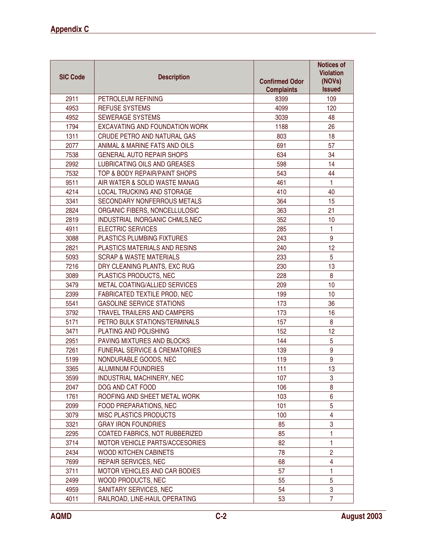| <b>SIC Code</b> | <b>Description</b>                       | <b>Confirmed Odor</b><br><b>Complaints</b> | <b>Notices of</b><br><b>Violation</b><br>(NOVs)<br><b>Issued</b> |
|-----------------|------------------------------------------|--------------------------------------------|------------------------------------------------------------------|
| 2911            | PETROLEUM REFINING                       | 8399                                       | 109                                                              |
| 4953            | <b>REFUSE SYSTEMS</b>                    | 4099                                       | 120                                                              |
| 4952            | <b>SEWERAGE SYSTEMS</b>                  | 3039                                       | 48                                                               |
| 1794            | EXCAVATING AND FOUNDATION WORK           | 1188                                       | 26                                                               |
| 1311            | CRUDE PETRO AND NATURAL GAS              | 803                                        | 18                                                               |
| 2077            | ANIMAL & MARINE FATS AND OILS            | 691                                        | 57                                                               |
| 7538            | <b>GENERAL AUTO REPAIR SHOPS</b>         | 634                                        | 34                                                               |
| 2992            | LUBRICATING OILS AND GREASES             | 598                                        | 14                                                               |
| 7532            | TOP & BODY REPAIR/PAINT SHOPS            | 543                                        | 44                                                               |
| 9511            | AIR WATER & SOLID WASTE MANAG            | 461                                        | $\mathbf{1}$                                                     |
| 4214            | LOCAL TRUCKING AND STORAGE               | 410                                        | 40                                                               |
| 3341            | SECONDARY NONFERROUS METALS              | 364                                        | 15                                                               |
| 2824            | ORGANIC FIBERS, NONCELLULOSIC            | 363                                        | 21                                                               |
| 2819            | INDUSTRIAL INORGANIC CHMLS, NEC          | 352                                        | 10                                                               |
| 4911            | <b>ELECTRIC SERVICES</b>                 | 285                                        | 1                                                                |
| 3088            | PLASTICS PLUMBING FIXTURES               | 243                                        | $\boldsymbol{9}$                                                 |
| 2821            | PLASTICS MATERIALS AND RESINS            | 240                                        | 12                                                               |
| 5093            | <b>SCRAP &amp; WASTE MATERIALS</b>       | 233                                        | 5                                                                |
| 7216            | DRY CLEANING PLANTS, EXC RUG             | 230                                        | 13                                                               |
| 3089            | PLASTICS PRODUCTS, NEC                   | 228                                        | 8                                                                |
| 3479            | METAL COATING/ALLIED SERVICES            | 209                                        | 10                                                               |
| 2399            | FABRICATED TEXTILE PROD, NEC             | 199                                        | 10 <sup>°</sup>                                                  |
| 5541            | <b>GASOLINE SERVICE STATIONS</b>         | 173                                        | 36                                                               |
| 3792            | TRAVEL TRAILERS AND CAMPERS              | 173                                        | 16                                                               |
| 5171            | PETRO BULK STATIONS/TERMINALS            | 157                                        | 8                                                                |
| 3471            | PLATING AND POLISHING                    | 152                                        | 12                                                               |
| 2951            | PAVING MIXTURES AND BLOCKS               | 144                                        | 5                                                                |
| 7261            | <b>FUNERAL SERVICE &amp; CREMATORIES</b> | 139                                        | 9                                                                |
| 5199            | NONDURABLE GOODS, NEC                    | 119                                        | 9                                                                |
| 3365            | <b>ALUMINUM FOUNDRIES</b>                | 111                                        | 13                                                               |
| 3599            | INDUSTRIAL MACHINERY, NEC                | 107                                        | 3                                                                |
| 2047            | DOG AND CAT FOOD                         | 106                                        | 8                                                                |
| 1761            | ROOFING AND SHEET METAL WORK             | 103                                        | 6                                                                |
| 2099            | FOOD PREPARATIONS, NEC                   | 101                                        | 5                                                                |
| 3079            | MISC PLASTICS PRODUCTS                   | 100                                        | $\overline{\mathbf{4}}$                                          |
| 3321            | <b>GRAY IRON FOUNDRIES</b>               | 85                                         | 3                                                                |
| 2295            | COATED FABRICS, NOT RUBBERIZED           | 85                                         | 1                                                                |
| 3714            | MOTOR VEHICLE PARTS/ACCESORIES           | 82                                         | $\mathbf{1}$                                                     |
| 2434            | <b>WOOD KITCHEN CABINETS</b>             | 78                                         | $\overline{2}$                                                   |
| 7699            | REPAIR SERVICES, NEC                     | 68                                         | 4                                                                |
| 3711            | <b>MOTOR VEHICLES AND CAR BODIES</b>     | 57                                         | 1                                                                |
| 2499            | WOOD PRODUCTS, NEC                       | 55                                         | 5                                                                |
| 4959            | SANITARY SERVICES, NEC                   | 54                                         | 3                                                                |
| 4011            | RAILROAD, LINE-HAUL OPERATING            | 53                                         | $\overline{7}$                                                   |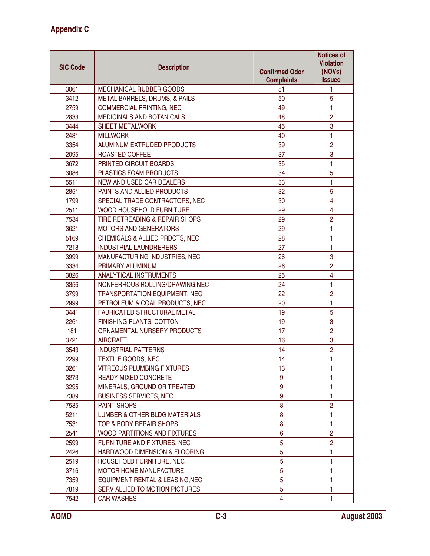| <b>SIC Code</b> | <b>Description</b>                        | <b>Confirmed Odor</b><br><b>Complaints</b> | <b>Notices of</b><br><b>Violation</b><br>(NOVs)<br><b>Issued</b> |
|-----------------|-------------------------------------------|--------------------------------------------|------------------------------------------------------------------|
| 3061            | MECHANICAL RUBBER GOODS                   | 51                                         | 1                                                                |
| 3412            | METAL BARRELS, DRUMS, & PAILS             | 50                                         | 5                                                                |
| 2759            | <b>COMMERCIAL PRINTING, NEC</b>           | 49                                         | 1                                                                |
| 2833            | <b>MEDICINALS AND BOTANICALS</b>          | 48                                         | $\overline{c}$                                                   |
| 3444            | <b>SHEET METALWORK</b>                    | 45                                         | 3                                                                |
| 2431            | <b>MILLWORK</b>                           | 40                                         | 1                                                                |
| 3354            | ALUMINUM EXTRUDED PRODUCTS                | 39                                         | $\overline{2}$                                                   |
| 2095            | ROASTED COFFEE                            | 37                                         | 3                                                                |
| 3672            | PRINTED CIRCUIT BOARDS                    | 35                                         | 1                                                                |
| 3086            | PLASTICS FOAM PRODUCTS                    | 34                                         | 5                                                                |
| 5511            | NEW AND USED CAR DEALERS                  | 33                                         | 1                                                                |
| 2851            | PAINTS AND ALLIED PRODUCTS                | 32                                         | 5                                                                |
| 1799            | SPECIAL TRADE CONTRACTORS, NEC            | 30                                         | $\overline{4}$                                                   |
| 2511            | WOOD HOUSEHOLD FURNITURE                  | 29                                         | $\overline{4}$                                                   |
| 7534            | TIRE RETREADING & REPAIR SHOPS            | 29                                         | $\overline{2}$                                                   |
| 3621            | MOTORS AND GENERATORS                     | 29                                         | 1                                                                |
| 5169            | <b>CHEMICALS &amp; ALLIED PRDCTS, NEC</b> | 28                                         | 1                                                                |
| 7218            | <b>INDUSTRIAL LAUNDRERERS</b>             | 27                                         | 1                                                                |
| 3999            | MANUFACTURING INDUSTRIES, NEC             | 26                                         | $\sqrt{3}$                                                       |
| 3334            | PRIMARY ALUMINUM                          | 26                                         | $\overline{2}$                                                   |
| 3826            | ANALYTICAL INSTRUMENTS                    | 25                                         | $\overline{4}$                                                   |
| 3356            | NONFERROUS ROLLING/DRAWING, NEC           | 24                                         | 1                                                                |
| 3799            | TRANSPORTATION EQUIPMENT, NEC             | 22                                         | $\overline{c}$                                                   |
| 2999            | PETROLEUM & COAL PRODUCTS, NEC            | 20                                         | 1                                                                |
| 3441            | FABRICATED STRUCTURAL METAL               | 19                                         | 5                                                                |
| 2261            | FINISHING PLANTS, COTTON                  | 19                                         | 3                                                                |
| 181             | ORNAMENTAL NURSERY PRODUCTS               | 17                                         | $\overline{2}$                                                   |
| 3721            | <b>AIRCRAFT</b>                           | 16                                         | 3                                                                |
| 3543            | <b>INDUSTRIAL PATTERNS</b>                | 14                                         | $\overline{2}$                                                   |
| 2299            | <b>TEXTILE GOODS, NEC</b>                 | 14                                         | 1                                                                |
| 3261            | <b>VITREOUS PLUMBING FIXTURES</b>         | 13                                         | 1                                                                |
| 3273            | READY-MIXED CONCRETE                      | 9                                          |                                                                  |
| 3295            | MINERALS, GROUND OR TREATED               | 9                                          | 1                                                                |
| 7389            | <b>BUSINESS SERVICES, NEC</b>             | $9\,$                                      | 1                                                                |
| 7535            | PAINT SHOPS                               | 8                                          | $\overline{c}$                                                   |
| 5211            | LUMBER & OTHER BLDG MATERIALS             | 8                                          | 1                                                                |
| 7531            | TOP & BODY REPAIR SHOPS                   | 8                                          | 1                                                                |
| 2541            | WOOD PARTITIONS AND FIXTURES              | $\boldsymbol{6}$                           | $\overline{c}$                                                   |
| 2599            | FURNITURE AND FIXTURES, NEC               | 5                                          | $\overline{2}$                                                   |
| 2426            | HARDWOOD DIMENSION & FLOORING             | 5                                          | 1                                                                |
| 2519            | HOUSEHOLD FURNITURE, NEC                  | 5                                          | 1                                                                |
| 3716            | MOTOR HOME MANUFACTURE                    | 5                                          | 1                                                                |
| 7359            | EQUIPMENT RENTAL & LEASING, NEC           | 5                                          | 1                                                                |
| 7819            | SERV ALLIED TO MOTION PICTURES            | $\overline{5}$                             | 1                                                                |
| 7542            | <b>CAR WASHES</b>                         | 4                                          | 1                                                                |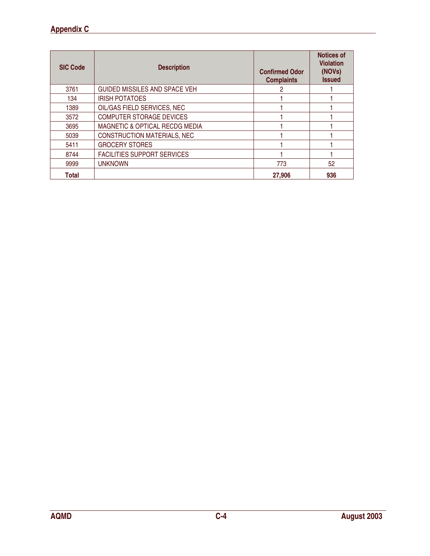| <b>SIC Code</b> | <b>Description</b>                 | <b>Confirmed Odor</b><br><b>Complaints</b> | <b>Notices of</b><br><b>Violation</b><br>(NOVs)<br><b>Issued</b> |
|-----------------|------------------------------------|--------------------------------------------|------------------------------------------------------------------|
| 3761            | GUIDED MISSILES AND SPACE VEH      | 2                                          |                                                                  |
| 134             | <b>IRISH POTATOES</b>              |                                            |                                                                  |
| 1389            | OIL/GAS FIELD SERVICES, NEC        |                                            |                                                                  |
| 3572            | <b>COMPUTER STORAGE DEVICES</b>    |                                            |                                                                  |
| 3695            | MAGNETIC & OPTICAL RECDG MEDIA     |                                            |                                                                  |
| 5039            | <b>CONSTRUCTION MATERIALS, NEC</b> |                                            |                                                                  |
| 5411            | <b>GROCERY STORES</b>              |                                            |                                                                  |
| 8744            | <b>FACILITIES SUPPORT SERVICES</b> |                                            |                                                                  |
| 9999            | <b>UNKNOWN</b>                     | 773                                        | 52                                                               |
| <b>Total</b>    |                                    | 27,906                                     | 936                                                              |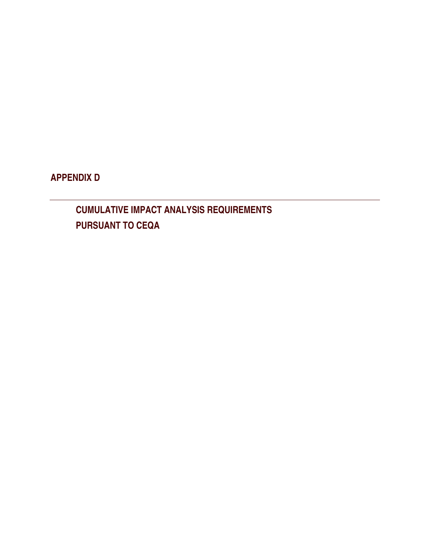APPENDIX D

CUMULATIVE IMPACT ANALYSIS REQUIREMENTS PURSUANT TO CEQA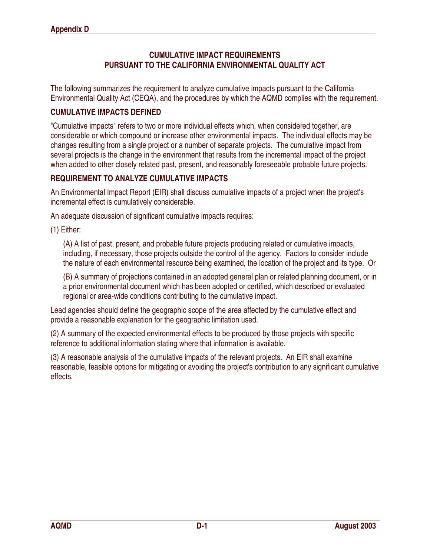### CUMULATIVE IMPACT REQUIREMENTS PURSUANT TO THE CALIFORNIA ENVIRONMENTAL QUALITY ACT

The following summarizes the requirement to analyze cumulative impacts pursuant to the California Environmental Quality Act (CEQA), and the procedures by which the AQMD complies with the requirement.

### CUMULATIVE IMPACTS DEFINED

"Cumulative impacts" refers to two or more individual effects which, when considered together, are considerable or which compound or increase other environmental impacts. The individual effects may be changes resulting from a single project or a number of separate projects. The cumulative impact from several projects is the change in the environment that results from the incremental impact of the project when added to other closely related past, present, and reasonably foreseeable probable future projects.

### REQUIREMENT TO ANALYZE CUMULATIVE IMPACTS

An Environmental Impact Report (EIR) shall discuss cumulative impacts of a project when the project's incremental effect is cumulatively considerable.

An adequate discussion of significant cumulative impacts requires:

(1) Either:

(A) A list of past, present, and probable future projects producing related or cumulative impacts, including, if necessary, those projects outside the control of the agency. Factors to consider include the nature of each environmental resource being examined, the location of the project and its type. Or

(B) A summary of projections contained in an adopted general plan or related planning document, or in a prior environmental document which has been adopted or certified, which described or evaluated regional or area-wide conditions contributing to the cumulative impact.

Lead agencies should define the geographic scope of the area affected by the cumulative effect and provide a reasonable explanation for the geographic limitation used.

(2) A summary of the expected environmental effects to be produced by those projects with specific reference to additional information stating where that information is available.

(3) A reasonable analysis of the cumulative impacts of the relevant projects. An EIR shall examine reasonable, feasible options for mitigating or avoiding the project's contribution to any significant cumulative effects.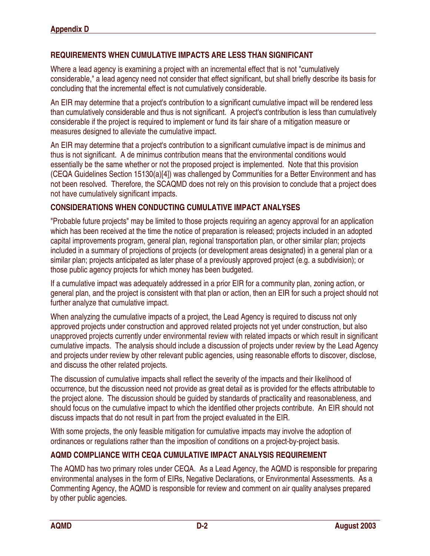## REQUIREMENTS WHEN CUMULATIVE IMPACTS ARE LESS THAN SIGNIFICANT

Where a lead agency is examining a project with an incremental effect that is not "cumulatively considerable," a lead agency need not consider that effect significant, but shall briefly describe its basis for concluding that the incremental effect is not cumulatively considerable.

An EIR may determine that a project's contribution to a significant cumulative impact will be rendered less than cumulatively considerable and thus is not significant. A project's contribution is less than cumulatively considerable if the project is required to implement or fund its fair share of a mitigation measure or measures designed to alleviate the cumulative impact.

An EIR may determine that a project's contribution to a significant cumulative impact is de minimus and thus is not significant. A de minimus contribution means that the environmental conditions would essentially be the same whether or not the proposed project is implemented. Note that this provision (CEQA Guidelines Section 15130(a)[4]) was challenged by Communities for a Better Environment and has not been resolved. Therefore, the SCAQMD does not rely on this provision to conclude that a project does not have cumulatively significant impacts.

### CONSIDERATIONS WHEN CONDUCTING CUMULATIVE IMPACT ANALYSES

"Probable future projects" may be limited to those projects requiring an agency approval for an application which has been received at the time the notice of preparation is released; projects included in an adopted capital improvements program, general plan, regional transportation plan, or other similar plan; projects included in a summary of projections of projects (or development areas designated) in a general plan or a similar plan; projects anticipated as later phase of a previously approved project (e.g. a subdivision); or those public agency projects for which money has been budgeted.

If a cumulative impact was adequately addressed in a prior EIR for a community plan, zoning action, or general plan, and the project is consistent with that plan or action, then an EIR for such a project should not further analyze that cumulative impact.

When analyzing the cumulative impacts of a project, the Lead Agency is required to discuss not only approved projects under construction and approved related projects not yet under construction, but also unapproved projects currently under environmental review with related impacts or which result in significant cumulative impacts. The analysis should include a discussion of projects under review by the Lead Agency and projects under review by other relevant public agencies, using reasonable efforts to discover, disclose, and discuss the other related projects.

The discussion of cumulative impacts shall reflect the severity of the impacts and their likelihood of occurrence, but the discussion need not provide as great detail as is provided for the effects attributable to the project alone. The discussion should be guided by standards of practicality and reasonableness, and should focus on the cumulative impact to which the identified other projects contribute. An EIR should not discuss impacts that do not result in part from the project evaluated in the EIR.

With some projects, the only feasible mitigation for cumulative impacts may involve the adoption of ordinances or regulations rather than the imposition of conditions on a project-by-project basis.

## AQMD COMPLIANCE WITH CEQA CUMULATIVE IMPACT ANALYSIS REQUIREMENT

The AQMD has two primary roles under CEQA. As a Lead Agency, the AQMD is responsible for preparing environmental analyses in the form of EIRs, Negative Declarations, or Environmental Assessments. As a Commenting Agency, the AQMD is responsible for review and comment on air quality analyses prepared by other public agencies.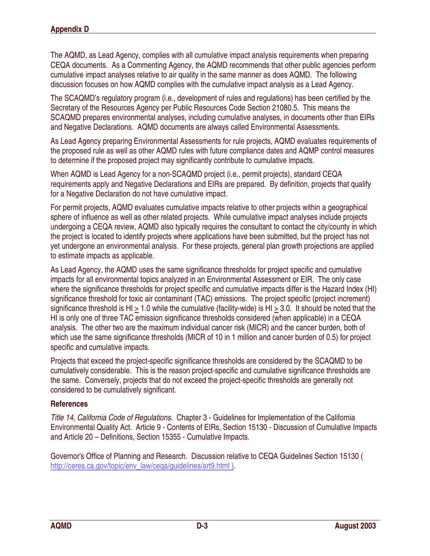The AQMD, as Lead Agency, complies with all cumulative impact analysis requirements when preparing CEQA documents. As a Commenting Agency, the AQMD recommends that other public agencies perform cumulative impact analyses relative to air quality in the same manner as does AQMD. The following discussion focuses on how AQMD complies with the cumulative impact analysis as a Lead Agency.

The SCAQMD's regulatory program (i.e., development of rules and regulations) has been certified by the Secretary of the Resources Agency per Public Resources Code Section 21080.5. This means the SCAQMD prepares environmental analyses, including cumulative analyses, in documents other than EIRs and Negative Declarations. AQMD documents are always called Environmental Assessments.

As Lead Agency preparing Environmental Assessments for rule projects, AQMD evaluates requirements of the proposed rule as well as other AQMD rules with future compliance dates and AQMP control measures to determine if the proposed project may significantly contribute to cumulative impacts.

When AQMD is Lead Agency for a non-SCAQMD project (i.e., permit projects), standard CEQA requirements apply and Negative Declarations and EIRs are prepared. By definition, projects that qualify for a Negative Declaration do not have cumulative impact.

For permit projects, AQMD evaluates cumulative impacts relative to other projects within a geographical sphere of influence as well as other related projects. While cumulative impact analyses include projects undergoing a CEQA review, AQMD also typically requires the consultant to contact the city/county in which the project is located to identify projects where applications have been submitted, but the project has not yet undergone an environmental analysis. For these projects, general plan growth projections are applied to estimate impacts as applicable.

As Lead Agency, the AQMD uses the same significance thresholds for project specific and cumulative impacts for all environmental topics analyzed in an Environmental Assessment or EIR. The only case where the significance thresholds for project specific and cumulative impacts differ is the Hazard Index (HI) significance threshold for toxic air contaminant (TAC) emissions. The project specific (project increment) significance threshold is HI  $\geq$  1.0 while the cumulative (facility-wide) is HI  $\geq$  3.0. It should be noted that the HI is only one of three TAC emission significance thresholds considered (when applicable) in a CEQA analysis. The other two are the maximum individual cancer risk (MICR) and the cancer burden, both of which use the same significance thresholds (MICR of 10 in 1 million and cancer burden of 0.5) for project specific and cumulative impacts.

Projects that exceed the project-specific significance thresholds are considered by the SCAQMD to be cumulatively considerable. This is the reason project-specific and cumulative significance thresholds are the same. Conversely, projects that do not exceed the project-specific thresholds are generally not considered to be cumulatively significant.

#### **References**

Title 14, California Code of Regulations. Chapter 3 - Guidelines for Implementation of the California Environmental Quality Act. Article 9 - Contents of EIRs, Section 15130 - Discussion of Cumulative Impacts and Article 20 – Definitions, Section 15355 - Cumulative Impacts.

Governor's Office of Planning and Research. Discussion relative to CEQA Guidelines Section 15130 ( http://ceres.ca.gov/topic/env\_law/ceqa/guidelines/art9.html).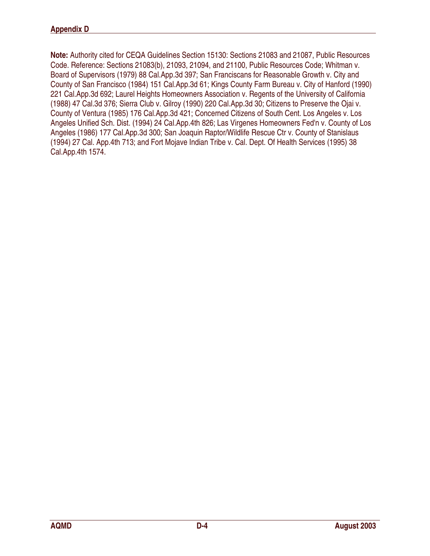Note: Authority cited for CEQA Guidelines Section 15130: Sections 21083 and 21087, Public Resources Code. Reference: Sections 21083(b), 21093, 21094, and 21100, Public Resources Code; Whitman v. Board of Supervisors (1979) 88 Cal.App.3d 397; San Franciscans for Reasonable Growth v. City and County of San Francisco (1984) 151 Cal.App.3d 61; Kings County Farm Bureau v. City of Hanford (1990) 221 Cal.App.3d 692; Laurel Heights Homeowners Association v. Regents of the University of California (1988) 47 Cal.3d 376; Sierra Club v. Gilroy (1990) 220 Cal.App.3d 30; Citizens to Preserve the Ojai v. County of Ventura (1985) 176 Cal.App.3d 421; Concerned Citizens of South Cent. Los Angeles v. Los Angeles Unified Sch. Dist. (1994) 24 Cal.App.4th 826; Las Virgenes Homeowners Fed'n v. County of Los Angeles (1986) 177 Cal.App.3d 300; San Joaquin Raptor/Wildlife Rescue Ctr v. County of Stanislaus (1994) 27 Cal. App.4th 713; and Fort Mojave Indian Tribe v. Cal. Dept. Of Health Services (1995) 38 Cal.App.4th 1574.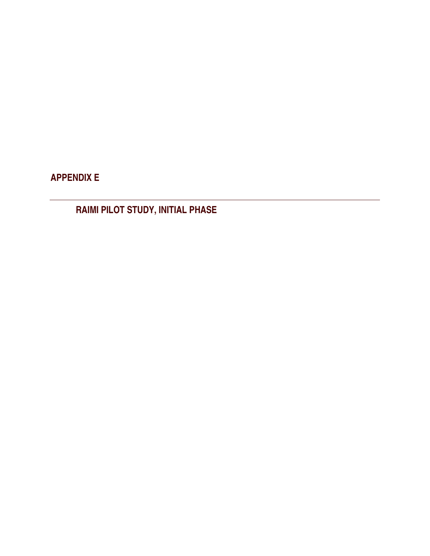APPENDIX E

RAIMI PILOT STUDY, INITIAL PHASE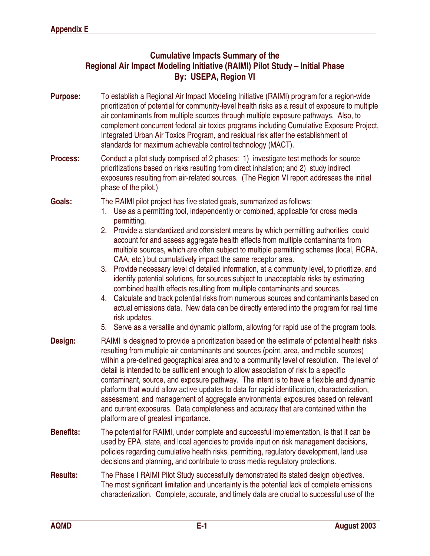# Cumulative Impacts Summary of the Regional Air Impact Modeling Initiative (RAIMI) Pilot Study – Initial Phase By: USEPA, Region VI

- Purpose: To establish a Regional Air Impact Modeling Initiative (RAIMI) program for a region-wide prioritization of potential for community-level health risks as a result of exposure to multiple air contaminants from multiple sources through multiple exposure pathways. Also, to complement concurrent federal air toxics programs including Cumulative Exposure Project, Integrated Urban Air Toxics Program, and residual risk after the establishment of standards for maximum achievable control technology (MACT).
- Process: Conduct a pilot study comprised of 2 phases: 1) investigate test methods for source prioritizations based on risks resulting from direct inhalation; and 2) study indirect exposures resulting from air-related sources. (The Region VI report addresses the initial phase of the pilot.)

#### Goals: The RAIMI pilot project has five stated goals, summarized as follows:

- 1. Use as a permitting tool, independently or combined, applicable for cross media permitting.
- 2. Provide a standardized and consistent means by which permitting authorities could account for and assess aggregate health effects from multiple contaminants from multiple sources, which are often subject to multiple permitting schemes (local, RCRA, CAA, etc.) but cumulatively impact the same receptor area.
- 3. Provide necessary level of detailed information, at a community level, to prioritize, and identify potential solutions, for sources subject to unacceptable risks by estimating combined health effects resulting from multiple contaminants and sources.
- 4. Calculate and track potential risks from numerous sources and contaminants based on actual emissions data. New data can be directly entered into the program for real time risk updates.
- 5. Serve as a versatile and dynamic platform, allowing for rapid use of the program tools.
- **Design:** RAIMI is designed to provide a prioritization based on the estimate of potential health risks resulting from multiple air contaminants and sources (point, area, and mobile sources) within a pre-defined geographical area and to a community level of resolution. The level of detail is intended to be sufficient enough to allow association of risk to a specific contaminant, source, and exposure pathway. The intent is to have a flexible and dynamic platform that would allow active updates to data for rapid identification, characterization, assessment, and management of aggregate environmental exposures based on relevant and current exposures. Data completeness and accuracy that are contained within the platform are of greatest importance.
- Benefits: The potential for RAIMI, under complete and successful implementation, is that it can be used by EPA, state, and local agencies to provide input on risk management decisions, policies regarding cumulative health risks, permitting, regulatory development, land use decisions and planning, and contribute to cross media regulatory protections.
- Results: The Phase I RAIMI Pilot Study successfully demonstrated its stated design objectives. The most significant limitation and uncertainty is the potential lack of complete emissions characterization. Complete, accurate, and timely data are crucial to successful use of the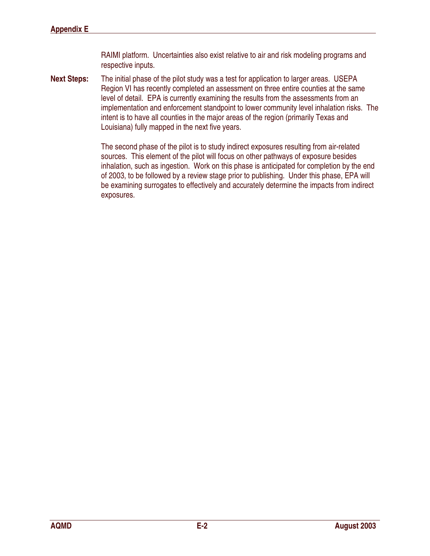RAIMI platform. Uncertainties also exist relative to air and risk modeling programs and respective inputs.

Next Steps: The initial phase of the pilot study was a test for application to larger areas. USEPA Region VI has recently completed an assessment on three entire counties at the same level of detail. EPA is currently examining the results from the assessments from an implementation and enforcement standpoint to lower community level inhalation risks. The intent is to have all counties in the major areas of the region (primarily Texas and Louisiana) fully mapped in the next five years.

> The second phase of the pilot is to study indirect exposures resulting from air-related sources. This element of the pilot will focus on other pathways of exposure besides inhalation, such as ingestion. Work on this phase is anticipated for completion by the end of 2003, to be followed by a review stage prior to publishing. Under this phase, EPA will be examining surrogates to effectively and accurately determine the impacts from indirect exposures.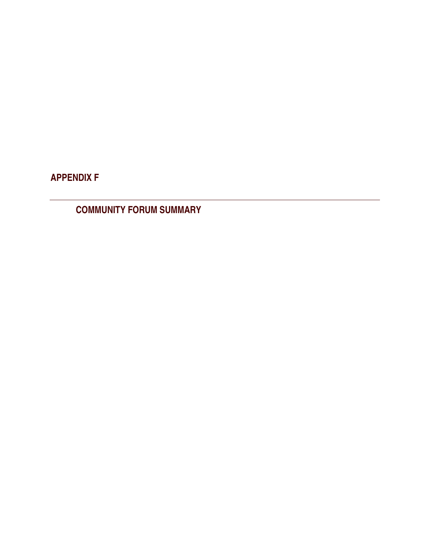APPENDIX F

COMMUNITY FORUM SUMMARY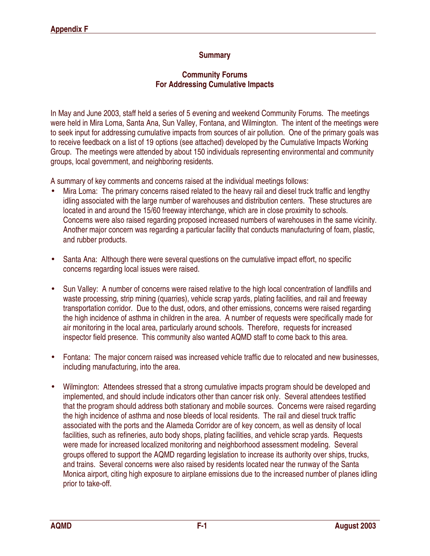## **Summary**

### Community Forums For Addressing Cumulative Impacts

In May and June 2003, staff held a series of 5 evening and weekend Community Forums. The meetings were held in Mira Loma, Santa Ana, Sun Valley, Fontana, and Wilmington. The intent of the meetings were to seek input for addressing cumulative impacts from sources of air pollution. One of the primary goals was to receive feedback on a list of 19 options (see attached) developed by the Cumulative Impacts Working Group. The meetings were attended by about 150 individuals representing environmental and community groups, local government, and neighboring residents.

A summary of key comments and concerns raised at the individual meetings follows:

- Mira Loma: The primary concerns raised related to the heavy rail and diesel truck traffic and lengthy idling associated with the large number of warehouses and distribution centers. These structures are located in and around the 15/60 freeway interchange, which are in close proximity to schools. Concerns were also raised regarding proposed increased numbers of warehouses in the same vicinity. Another major concern was regarding a particular facility that conducts manufacturing of foam, plastic, and rubber products.
- Santa Ana: Although there were several questions on the cumulative impact effort, no specific concerns regarding local issues were raised.
- Sun Valley: A number of concerns were raised relative to the high local concentration of landfills and waste processing, strip mining (quarries), vehicle scrap yards, plating facilities, and rail and freeway transportation corridor. Due to the dust, odors, and other emissions, concerns were raised regarding the high incidence of asthma in children in the area. A number of requests were specifically made for air monitoring in the local area, particularly around schools. Therefore, requests for increased inspector field presence. This community also wanted AQMD staff to come back to this area.
- Fontana: The major concern raised was increased vehicle traffic due to relocated and new businesses, including manufacturing, into the area.
- Wilmington: Attendees stressed that a strong cumulative impacts program should be developed and implemented, and should include indicators other than cancer risk only. Several attendees testified that the program should address both stationary and mobile sources. Concerns were raised regarding the high incidence of asthma and nose bleeds of local residents. The rail and diesel truck traffic associated with the ports and the Alameda Corridor are of key concern, as well as density of local facilities, such as refineries, auto body shops, plating facilities, and vehicle scrap yards. Requests were made for increased localized monitoring and neighborhood assessment modeling. Several groups offered to support the AQMD regarding legislation to increase its authority over ships, trucks, and trains. Several concerns were also raised by residents located near the runway of the Santa Monica airport, citing high exposure to airplane emissions due to the increased number of planes idling prior to take-off.